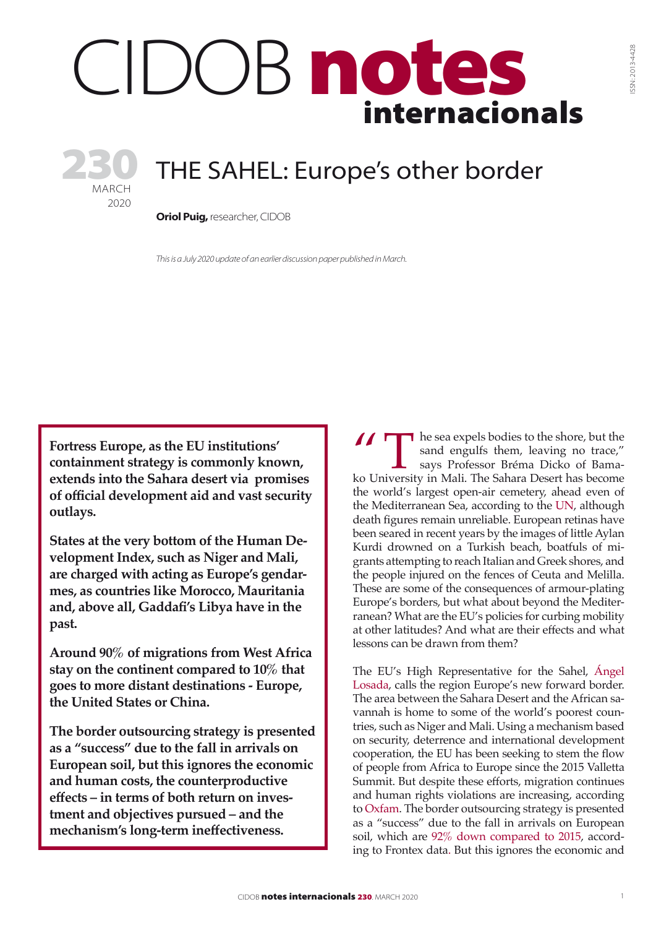# internacionals DOB notes

# THE SAHEL: Europe's other border

**Oriol Puig, researcher, CIDOB** 

MARCH 2020

230

*This is a July 2020 update of an earlier discussion paper published in March.*

**Fortress Europe, as the EU institutions' containment strategy is commonly known, extends into the Sahara desert via promises of official development aid and vast security outlays.** 

**States at the very bottom of th[e Human De](http://hdr.undp.org/sites/default/files/2018_human_development_statistical_update.pdf)[velopment Index,](http://hdr.undp.org/sites/default/files/2018_human_development_statistical_update.pdf) such as Niger and Mali, are charged with acting as Europe's gendarmes, as countries like Morocco, Mauritania and, above all, Gaddafi's Libya have in the past.** 

**Around 90% of migrations from West Africa stay on the continent compared to 10% that goes to more distant destinations - Europe, the United States or China.** 

**The border outsourcing strategy is presented as a "success" due to the fall in arrivals on European soil, but this ignores the economic and human costs, the counterproductive effects – in terms of both return on investment and objectives pursued – and the mechanism's long-term ineffectiveness.**

The sea expels bodies to the shore, but the sand engulfs them, leaving no trace," says Professor Bréma Dicko of Bamako University in Mali. The Sahara Desert has become sand engulfs them, leaving no trace," says Professor Bréma Dicko of Bamathe world's largest open-air cemetery, ahead even of the Mediterranean Sea, according to th[e UN,](https://www.infomigrants.net/en/post/4811/the-sahara-route-a-journey-more-deadly-than-the-crossing-from-the-coast) although death figures remain unreliable. European retinas have been seared in recent years by the images of little Aylan Kurdi drowned on a Turkish beach, boatfuls of migrants attempting to reach Italian and Greek shores, and the people injured on the fences of Ceuta and Melilla. These are some of the consequences of armour-plating Europe's borders, but what about beyond the Mediterranean? What are the EU's policies for curbing mobility at other latitudes? And what are their effects and what lessons can be drawn from them?

The EU's High Representative for the Sahel, [Ángel](https://www.lavanguardia.com/internacional/20180729/451156827590/el-sahel-es-la-frontera-avanzada-de-europa.html)  [Losada](https://www.lavanguardia.com/internacional/20180729/451156827590/el-sahel-es-la-frontera-avanzada-de-europa.html), calls the region Europe's new forward border. The area between the Sahara Desert and the African savannah is home to some of the world's poorest countries, such as Niger and Mali. Using a mechanism based on security, deterrence and international development cooperation, the EU has been seeking to stem the flow of people from Africa to Europe since the 2015 Valletta Summit. But despite these efforts, migration continues and human rights violations are increasing, according to [Oxfam](https://oxfam.app.box.com/s/4kwjvmdajbrwr1197pw7jjs56fnulxge). The border outsourcing strategy is presented as a "success" due to the fall in arrivals on European soil, which are [92% down compared to 2015](https://elpais.com/internacional/2020/01/09/actualidad/1578564715_874874.html), accord[ing to Frontex data.](https://elpais.com/internacional/2020/01/09/actualidad/1578564715_874874.html) But this ignores the economic and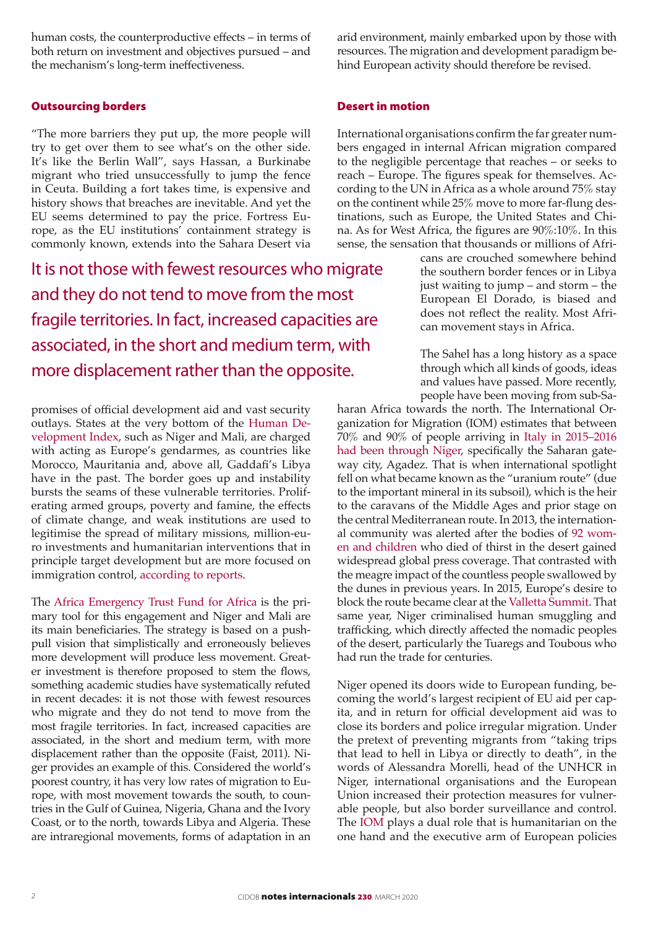human costs, the counterproductive effects – in terms of both return on investment and objectives pursued – and the mechanism's long-term ineffectiveness.

# Outsourcing borders

"The more barriers they put up, the more people will try to get over them to see what's on the other side. It's like the Berlin Wall", says Hassan, a Burkinabe migrant who tried unsuccessfully to jump the fence in Ceuta. Building a fort takes time, is expensive and history shows that breaches are inevitable. And yet the EU seems determined to pay the price. Fortress Europe, as the EU institutions' containment strategy is commonly known, extends into the Sahara Desert via

It is not those with fewest resources who migrate and they do not tend to move from the most fragile territories. In fact, increased capacities are associated, in the short and medium term, with more displacement rather than the opposite.

promises of official development aid and vast security outlays. States at the very bottom of the [Human De](http://hdr.undp.org/sites/default/files/2018_human_development_statistical_update.pdf)[velopment Index,](http://hdr.undp.org/sites/default/files/2018_human_development_statistical_update.pdf) such as Niger and Mali, are charged with acting as Europe's gendarmes, as countries like Morocco, Mauritania and, above all, Gaddafi's Libya have in the past. The border goes up and instability bursts the seams of these vulnerable territories. Proliferating armed groups, poverty and famine, the effects of climate change, and weak institutions are used to legitimise the spread of military missions, million-euro investments and humanitarian interventions that in principle target development but are more focused on immigration control, [according to reports](https://www.arci.it/documento/the-dangerous-link-between-migration-development-and-security-for-the-externalisation-of-borders-in-africa-case-studies-on-sudan-niger-and-tunisia/)[.](https://www.arci.it/documento/the-dangerous-link-between-migration-development-and-security-for-the-externalisation-of-borders-in-africa-case-studies-on-sudan -niger-and-tunisia /)

The [Africa Emergency Trust Fund for Africa](https://ec.europa.eu/trustfundforafrica/index_en) is the primary tool for this engagement and Niger and Mali are its main beneficiaries. The strategy is based on a pushpull vision that simplistically and erroneously believes more development will produce less movement. Greater investment is therefore proposed to stem the flows, something academic studies have systematically refuted in recent decades: it is not those with fewest resources who migrate and they do not tend to move from the most fragile territories. In fact, increased capacities are associated, in the short and medium term, with more displacement rather than the opposite (Faist, 2011). Niger provides an example of this. Considered the world's poorest country, it has very low rates of migration to Europe, with most movement towards the south, to countries in the Gulf of Guinea, Nigeria, Ghana and the Ivory Coast, or to the north, towards Libya and Algeria. These are intraregional movements, forms of adaptation in an arid environment, mainly embarked upon by those with resources. The migration and development paradigm behind European activity should therefore be revised.

# Desert in motion

International organisations confirm the far greater numbers engaged in internal African migration compared to the negligible percentage that reaches – or seeks to reach – Europe. The figures speak for themselves. According to the UN in Africa as a whole around 75% stay on the continent while 25% move to more far-flung destinations, such as Europe, the United States and China. As for West Africa, the figures are 90%:10%. In this sense, the sensation that thousands or millions of Afri-

cans are crouched somewhere behind the southern border fences or in Libya just waiting to jump – and storm – the European El Dorado, is biased and does not reflect the reality. Most African movement stays in Africa.

The Sahel has a long history as a space through which all kinds of goods, ideas and values have passed. More recently, people have been moving from sub-Sa-

haran Africa towards the north. The International Organization for Migration (IOM) estimates that between 70% and 90% of people arriving in Italy [in 2015–2016](https://www.consilium.europa.eu/en/press/press-releases/2015/05/13/eucap-sahel-niger/)  [had been through Niger](https://www.consilium.europa.eu/en/press/press-releases/2015/05/13/eucap-sahel-niger/), specifically the Saharan gateway city, Agadez. That is when international spotlight fell on what became known as the "uranium route" (due to the important mineral in its subsoil), which is the heir to the caravans of the Middle Ages and prior stage on the central Mediterranean route. In 2013, the international community was alerted after the bodies of [92 wom](https://www.europapress.es/internacional/noticia-autoridades-niger-confirman-muerte-92-inmigrantes-52-ellos-ninos-sahara-20131031153539.html)[en and children w](https://www.europapress.es/internacional/noticia-autoridades-niger-confirman-muerte-92-inmigrantes-52-ellos-ninos-sahara-20131031153539.html)ho died of thirst in the desert gained widespread global press coverage. That contrasted with the meagre impact of the countless people swallowed by the dunes in previous years. In 2015, Europe's desire to block the route became clear at the [Valletta Summit](https://www.consilium.europa.eu/en/press/press-releases/2015/11/11/valletta-summit-press-pack/). That same year, Niger criminalised human smuggling and trafficking, which directly affected the nomadic peoples of the desert, particularly the Tuaregs and Toubous who had run the trade for centuries.

Niger opened its doors wide to European funding, becoming the world's largest recipient of EU aid per capita, and in return for official development aid was to close its borders and police irregular migration. Under the pretext of preventing migrants from "taking trips that lead to hell in Libya or directly to death", in the words of Alessandra Morelli, head of the UNHCR in Niger, international organisations and the European Union increased their protection measures for vulnerable people, but also border surveillance and control. The [IOM](http://www.iom.int/) plays a dual role that is humanitarian on the one hand and the executive arm of European policies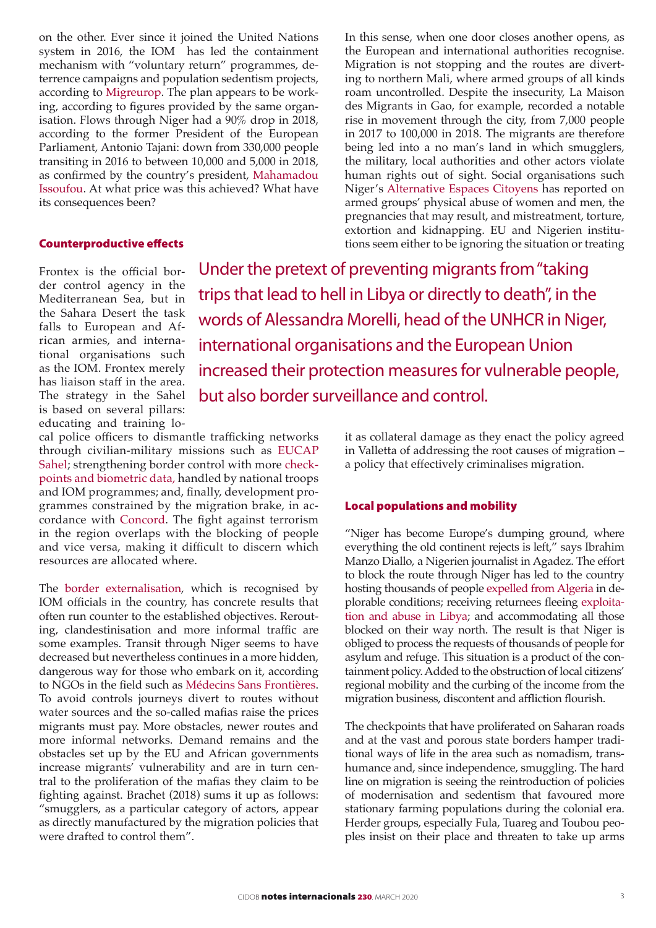on the other. Ever since it joined the United Nations system in 2016, the IOM has led the containment mechanism with "voluntary return" programmes, deterrence campaigns and population sedentism projects, according t[o Migreurop](http://www.migreurop.org/article2926.html?lang=fr). The plan appears to be working, according to figures provided by the same organisation. Flows through Niger had a 90% drop in 2018, according to the former President of the European Parliament, Antonio Tajani: down from 330,000 people transiting in 2016 to between 10,000 and 5,000 in 2018, as confirmed by the country's president, [Mahamadou](https://www.jeuneafrique.com/706613/societe/le-niger-et-litalie-saluent-la-chute-du-flux-de-migrants-africains-vers-leurope/) [Issoufou](https://www.jeuneafrique.com/706613/societe/le-niger-et-litalie-saluent-la-chute-du-flux-de-migrants-africains-vers-leurope/). At what price was this achieved? What have its consequences been?

#### Counterproductive effects

In this sense, when one door closes another opens, as the European and international authorities recognise. Migration is not stopping and the routes are diverting to northern Mali, where armed groups of all kinds roam uncontrolled. Despite the insecurity, La Maison des Migrants in Gao, for example, recorded a notable rise in movement through the city, from 7,000 people in 2017 to 100,000 in 2018. The migrants are therefore being led into a no man's land in which smugglers, the military, local authorities and other actors violate human rights out of sight. Social organisations such Niger's [Alternative Espaces Citoyens](https://www.alternativeniger.net/) has reported on armed groups' physical abuse of women and men, the pregnancies that may result, and mistreatment, torture, extortion and kidnapping. EU and Nigerien institutions seem either to be ignoring the situation or treating

Frontex is the official border control agency in the Mediterranean Sea, but in the Sahara Desert the task falls to European and African armies, and international organisations such as the IOM. Frontex merely has liaison staff in the area. The strategy in the Sahel is based on several pillars: educating and training lo-

Under the pretext of preventing migrants from "taking trips that lead to hell in Libya or directly to death", in the words of Alessandra Morelli, head of the UNHCR in Niger, international organisations and the European Union increased their protection measures for vulnerable people, but also border surveillance and control.

cal police officers to dismantle trafficking networks through civilian-military missions such as [EUCAP](https://eeas.europa.eu/csdp-missions-operations/eucap-sahel-niger_en) [Sahel](https://eeas.europa.eu/csdp-missions-operations/eucap-sahel-niger_en); strengthening border control with more [check](https://dtm.iom.int/reports/west-and-central-africa-—-liptako-gourma-crisis-monthly-dashboard-2-17-february-2020)[points and biometric data, h](https://dtm.iom.int/reports/west-and-central-africa-—-liptako-gourma-crisis-monthly-dashboard-2-17-february-2020)andled by national troops and IOM programmes; and, finally, development programmes constrained by the migration brake, in accordance with [Concord](https://coordinadoraongd.org/wp-content/uploads/2018/04/EUTFReport2018_-español.pdf). The fight against terrorism in the region overlaps with the blocking of people and vice versa, making it difficult to discern which resources are allocated where.

Th[e border externalisation,](https://especiales.eldiario.es/llaves-de-europa/sahel.html) which is recognised by IOM officials in the country, has concrete results that often run counter to the established objectives. Rerouting, clandestinisation and more informal traffic are some examples. Transit through Niger seems to have decreased but nevertheless continues in a more hidden, dangerous way for those who embark on it, according to NGOs in the field such as [Médecins Sans Frontières.](https://www.msf.es/actualidad/niger/niger-imagina-que-te-abandonan-desierto-medio-la-nada-comida-ni-agua) To avoid controls journeys divert to routes without water sources and the so-called mafias raise the prices migrants must pay. More obstacles, newer routes and more informal networks. Demand remains and the obstacles set up by the EU and African governments increase migrants' vulnerability and are in turn central to the proliferation of the mafias they claim to be fighting against. Brachet (2018) sums it up as follows: "smugglers, as a particular category of actors, appear as directly manufactured by the migration policies that were drafted to control them".

it as collateral damage as they enact the policy agreed in Valletta of addressing the root causes of migration – a policy that effectively criminalises migration.

# Local populations and mobility

"Niger has become Europe's dumping ground, where everything the old continent rejects is left," says Ibrahim Manzo Diallo, a Nigerien journalist in Agadez. The effort to block the route through Niger has led to the country hosting thousands of peopl[e expelled from Algeria](http://www.rfi.fr/fr/afrique/20200115-algerie-reprise-expulsions-migrants-niger) in deplorable conditions; receiving returnees fleeing [exploita](https://www.hrw.org/report/2019/01/21/no-escape-hell/eu-policies-contribute-abuse-migrants-libya)[tion and abuse in Libya](https://www.hrw.org/report/2019/01/21/no-escape-hell/eu-policies-contribute-abuse-migrants-libya); and accommodating all those blocked on their way north. The result is that Niger is obliged to process the requests of thousands of people for asylum and refuge. This situation is a product of the containment policy. Added to the obstruction of local citizens' regional mobility and the curbing of the income from the migration business, discontent and affliction flourish.

The checkpoints that have proliferated on Saharan roads and at the vast and porous state borders hamper traditional ways of life in the area such as nomadism, transhumance and, since independence, smuggling. The hard line on migration is seeing the reintroduction of policies of modernisation and sedentism that favoured more stationary farming populations during the colonial era. Herder groups, especially Fula, Tuareg and Toubou peoples insist on their place and threaten to take up arms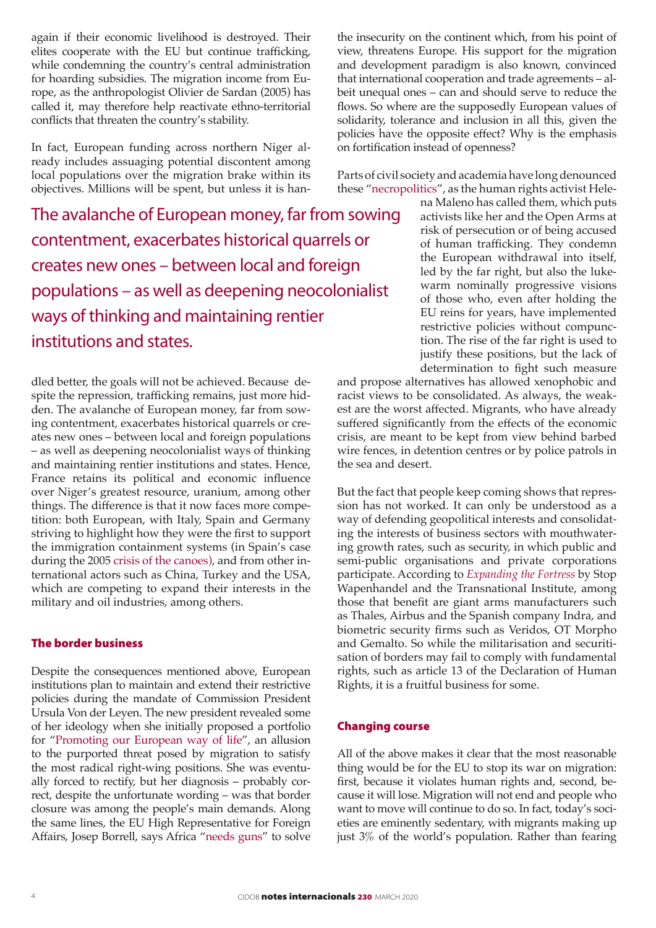again if their economic livelihood is destroyed. Their elites cooperate with the EU but continue trafficking, while condemning the country's central administration for hoarding subsidies. The migration income from Europe, as the anthropologist Olivier de Sardan (2005) has called it, may therefore help reactivate ethno-territorial conflicts that threaten the country's stability.

In fact, European funding across northern Niger already includes assuaging potential discontent among local populations over the migration brake within its objectives. Millions will be spent, but unless it is han-

The avalanche of European money, far from sowing contentment, exacerbates historical quarrels or creates new ones – between local and foreign populations – as well as deepening neocolonialist ways of thinking and maintaining rentier institutions and states.

dled better, the goals will not be achieved. Because despite the repression, trafficking remains, just more hidden. The avalanche of European money, far from sowing contentment, exacerbates historical quarrels or creates new ones – between local and foreign populations – as well as deepening neocolonialist ways of thinking and maintaining rentier institutions and states. Hence, France retains its political and economic influence over Niger's greatest resource, uranium, among other things. The difference is that it now faces more competition: both European, with Italy, Spain and Germany striving to highlight how they were the first to support the immigration containment systems [\(in Spain's case](https://www.eldiario.es/canariasahora/society/gestion-cayucos-Canarias-paradigma-inmigracion_0_799670800.html) [during the 2005 crisis of the canoes\)](https://www.eldiario.es/canariasahora/society/gestion-cayucos-Canarias-paradigma-inmigracion_0_799670800.html), and from other international actors such as China, Turkey and the USA, which are competing to expand their interests in the military and oil industries, among others.

## The border business

Despite the consequences mentioned above, European institutions plan to maintain and extend their restrictive policies during the mandate of Commission President Ursula Von der Leyen. The new president revealed some of her ideology when she initially proposed a portfolio for "[Promoting our European way of life](https://ec.europa.eu/info/strategy/priorities-2019-2024/promoting-our-european-way-life_en)", an allusion to the purported threat posed by migration to satisfy the most radical right-wing positions. She was eventually forced to rectify, but her diagnosis – probably correct, despite the unfortunate wording – was that border closure was among the people's main demands. Along the same lines, the EU High Representative for Foreign Affairs, Josep Borrell, says Africa ["needs guns"](https://euobserver.com/foreign/147577) to solve

the insecurity on the continent which, from his point of view, threatens Europe. His support for the migration and development paradigm is also known, convinced that international cooperation and trade agreements – albeit unequal ones – can and should serve to reduce the flows. So where are the supposedly European values of solidarity, tolerance and inclusion in all this, given the policies have the opposite effect? Why is the emphasis on fortification instead of openness?

Parts of civil society and academia have long denounced these ["necropolitics"](https://caminandofronteras.files.wordpress.com/2019/06/vida-en-la-necrofrontera-interactivo.pdf), as the human rights activist Hele-

> na Maleno has called them, which puts activists like her and the Open Arms at risk of persecution or of being accused of human trafficking. They condemn the European withdrawal into itself, led by the far right, but also the lukewarm nominally progressive visions of those who, even after holding the EU reins for years, have implemented restrictive policies without compunction. The rise of the far right is used to justify these positions, but the lack of determination to fight such measure

and propose alternatives has allowed xenophobic and racist views to be consolidated. As always, the weakest are the worst affected. Migrants, who have already suffered significantly from the effects of the economic crisis, are meant to be kept from view behind barbed wire fences, in detention centres or by police patrols in the sea and desert.

But the fact that people keep coming shows that repression has not worked. It can only be understood as a way of defending geopolitical interests and consolidating the interests of business sectors with mouthwatering growth rates, such as security, in which public and semi-public organisations and private corporations participate. According to *[Expanding the Fortress](https://www.tni.org/en/file/11646/download?token=Omrt1QMk)* by Stop Wapenhandel and the Transnational Institute, among those that benefit are giant arms manufacturers such as Thales, Airbus and the Spanish company Indra, and biometric security firms such as Veridos, OT Morpho and Gemalto. So while the militarisation and securitisation of borders may fail to comply with fundamental rights, such as article 13 of the Declaration of Human Rights, it is a fruitful business for some.

#### Changing course

All of the above makes it clear that the most reasonable thing would be for the EU to stop its war on migration: first, because it violates human rights and, second, because it will lose. Migration will not end and people who want to move will continue to do so. In fact, today's societies are eminently sedentary, with migrants making up just 3% of the world's population. Rather than fearing